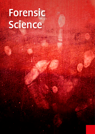# Forensic Science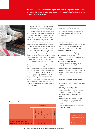The FORENSIC SCIENCE programme trains professionals who investigate the facts of a crime or incident. They help to solve a crime or incident with the aid of scientific, digital, investigation and detection techniques.



France consider analysts and investigators work in<br>
all kinds of professions where the question<br>
of cause or guilt must be established. This<br>
involves not only crimes, but also incidents such orensic analysts and investigators work in all kinds of professions where the question of cause or guilt must be established. This as fire, fraud, accidents, or damage caused by the failure of products, materials, constructions or human actions. A forensic investigator can therefore work at an 'incident scene' or 'crime scene', but also in analytical, medical or forensic laboratories. In the legal profession or insurance industry, a forensic investigator will often act as an advisor or policy officer. In addition, forensic investigators make an innovative contribution to the field by developing new methods and techniques and/or applying existing techniques in a different context (forensic engineering). In all cases, forensic investigators are able to use their knowledge of natural sciences, investigative techniques and technology to help establish the circumstances of a crime or incident and who is (or is not) responsible for it.

Occupations, positions and roles of the Bachelor can be found in the following professional domains (for a full description of the professional domains, see Chapter 2). The professional field can be defined in 'classic' FS professions, in which forensic investigation plays a key part. Growth in the field of forensic engineering is particularly rapid. Since a detailed definition of the posts in which forensic investigators work would lead to too narrow a definition of the developing professional field, we are not attempting to do so for the time being.

#### Institutions that offer the programme

- : Amsterdam University of Applied Sciences
- Saxion University of Applied Sciences, Enschede

#### **Research and development**

– Forensic (digital) specialist, (research) analyst or digital investigator (with the National Police, ECFO, the NFI or, for example, the NVWA)

#### **Application and production**

– Forensic crime scene investigator (operational specialist) (with the National Police)

#### **Medical laboratory diagnostics**

– Research analyst (chemical or biological) in the lab (e.g. NFI or Sanguin)

#### **Engineering and manufacturing**

– Forensic engineer, fire investigator or failure analyst (at various engineering firms)

#### **Commercial and services sector**

– Private investigator, commercial advisor or investigator (with insurance companies, in the legal profession or for one of the Dutch security regions)

#### **KENMERKENDE STUDIEBOEKEN**

- *An Introduction to Forensic Genetics,* W. Goodwin, A. Linacre e.a.
- *Essential Forensic Biology,* A. Gunn
- *Forensic Chemistry,* S. Bell
- *Fundamentals of General, Organic, and Biological Chemistry,* J.E. McMurry, D.S. Ballantine
- *Principles of Forensic Toxicology,* B.S. Levine, S. Karrigan
- *Shooting Incident Recontruction,* M.G. Haag
- *Forensic Science, A.R.W. Jackson,* J.M. Jackson
- *Introductory Statistics For Forensic Scientists,*  D. Lucy
- *Seeley's Essentials of Anatomy and Physiology,*  C. Vanputte, J. Regan e.a.

The list of typical textbooks serves as an illustration to give which the subject is taught in the study programme.

#### **Programme profile**

|                                                                        | Competence |                 |             |            |        |             |                       |                 |
|------------------------------------------------------------------------|------------|-----------------|-------------|------------|--------|-------------|-----------------------|-----------------|
|                                                                        | Research   | Experimentation | Development | Management | Advice | Instruction | $\Omega$<br>Leadershi | Self-management |
| <b>Minimum national attainment</b><br>target adopted for the programme | Ш          | п               | п           | П          | Ш      |             |                       | П               |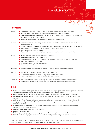# Forensic Science



- : Social and communication skills: empathy, interviewing, collaborating, meeting, written reporting, oral presentation
- **Information skills:** word processing, spreadsheets, drawing software, presentation techniques, digital information searches and research
- Skills at scene of crime/scene of incident: using an (objective) description to make a sketch and a photographic record, managing the securing of biological, chemical and physical evidence, interpreting it and investigating how it relates to hypotheses / scenarios
- **E** Forensic examination techniques: e.g. dactyloscopy, hair and fibre examination, scratch, impression and shape marks, presumptive tests on biological evidence
- Identifying, securing and interpreting digital evidence
- **Bloodstain pattern analysis**
- : Performing or arranging analyses of traces and/or physical evidence in compliance with standards
- Using standard laboratory equipment: performing simple chemical, physical or biological analyses in a laboratory.

The Body of Knowledge and Skills is a summary of graduates' basic knowledge and basic skills which has been prepared by the HBO-programmes in consultation with the professional field. These are obtained during the first two years of education.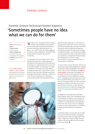### Forensic Science

## Forensic Science Technician Kirsten Kooistra: 'Sometimes people have no idea what we can do for them'

Name: Kirsten Kooistra Age: 24 Course of study: Forensic Science Place of employment: Fiscal Information and Investigation Service (FIOD) Position: Forensic Science Technician

The aim of **physical match** analysis is to ascertain whether material parts of a certain piece of evidence have ever formed a single unit, e.g. pieces of torn paper or tape.

'At high school, I was good at science subjects. I wanted to do something on the technical side, but had trouble choosing. I found detective work very interesting, liked watching CSI and Bones – it's a cliché, I know. My mentor suggested the Forensic Science programme. I looked into that and was allowed to spend a day at Saxion, in Enschede.

As a young girl, fresh out of high school, I had no idea what to expect from a study programme. I had hoped for more practical work, and that was a bit lacking, but I understand that this is now much more widely available. In my third year, I was able to complete an internship at the police forensic investigation department, a place where I learned so much! There I saw how I could put into practice the things I had learned at university – perhaps the most instructive experience ever. Afterwards, I consciously wanted to do my graduation intern-



ship with another organisation, to see what else the government had to offer, and so I ended up at the FIOD. After graduating, I was able to work there temporarily and was tasked with setting up an accreditation procedure for the forensic investigation laboratory. When a 'real' job became available, I naturally jumped at it! After a year spent working on accreditation, I attended the internal investigation training course. I've been running my own forensics cases since December, but I'm still working on accreditation.

I'm now a Forensic Science Technician. We focus on dactyloscopic examination (fingerprints), sampling and testing of drugs, photography, securing DNA, advice, scene of crime investigation and *physical* match analysis. Other areas of investigation are forwarded to the NFI or other agencies. One of the competences I use on a daily basis is giving advice. Investigative teams ask what we can do for them. Sometimes things seem obvious to us, but financial investigators often don't have a technical background and don't know what we can do for them. We are a small team, are well attuned to each other and are a so-called self-managed team. So the self-management competence comes in handy!

A colleague and I also take care of the intake. When enquiries come in from investigative teams, I check whether the enquiry is clear, whether the enquiry meets the intake criteria and whether it is sufficient to justify taking on an investigation. If that's the case, I'll put it out to my colleagues and take care of the administration. Coordination is therefore another important competence for me.

I would like to grow in my job, gain a lot of experience and try to make the Forensic Investigation team better known within the organisation. Who knows, I might be in charge someday. The most important thing? Enjoying your work and being open to new things.' $\blacksquare$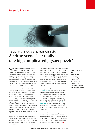## Forensic Science



# Operational Specialist Jurgen van Eldik: 'A crime scene is actually one big complicated jigsaw puzzle'

'After completing higher secondary educa-tion (HAVO) (NT profile) I opted for the Forensic Science programme, because detective work seemed incredibly cool to me. Luckily, the programme turned out to be highly practiceoriented, so that you are well prepared and no day is actually boring – you feel like you are already solving crimes. I was determined to graduate with the police; I felt a clear affinity with the cold case team, so I did my graduation research there.

In my current job as an Operational Specialist, I participate in the forensic investigation, which means that we go to a crime scene – of a murder, for example, or a burglary or fire – and conduct an on-site investigation to establish the truth. At the moment, I'm still in the early stages of my career. Since this job is subject to a lot of rules and legislation, you have to do a lot of internal followup training before you can really participate in a call-out. This sometimes requires a lot of patience, because every day you are confronted with one fascinating situation after another, which you consider to be an 'adventure' in which you want to help out.

In principle, all facets of the work had been fully covered in the programme. The lessons were also always linked to a project, in the form of an actual investigation, which made the link with the real world very clear. In practice, the work is more

clearly split between the call-out and the follow-up investigations in the lab. It is, of course, a higher professional (HBO) programme, so the emphasis is placed on the theory behind different methods and the investigations in the lab. In the lab, a graduate will be up to speed almost immediately, but at the crime scene you really need to gain experience to be able to participate. Of course, the knowledge you have obtained during the programme helps enormously.

The competences of research, development and experimentation are important in my job. A crime scene is actually one big complicated jigsaw puzzle that you try to solve through investigation. The job is constantly evolving – involving, for example, new techniques for finding and/or securing evidence. You have to stay curious all the time and be able to hang on in there. Selfmanagement is important; the police is a large organisation which offers a lot of possibilities, but you have to be assertive and be able to stand your ground.

Over the next few years, I want to gain a lot of practical experience, which is very important in this job. My current position is the best fit for that at the moment, so for now I'm not thinking about anything else. It may not sound very ambitious but, actually, this is simply my dream job!' $\blacksquare$ 

Name: Jurgen van Eldik Age: 27 Course of study: Forensic Science Place of employment: National Police, Forensic Investigation, East Netherlands Unit Position and responsibilities: Operational Specialist